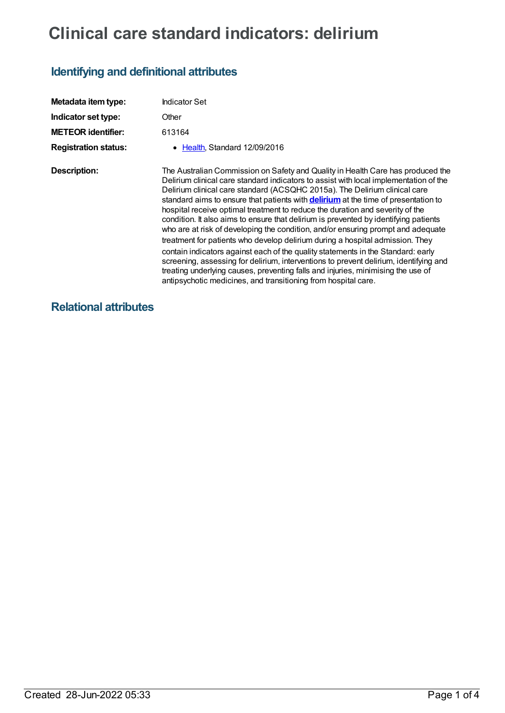# **Clinical care standard indicators: delirium**

## **Identifying and definitional attributes**

| Metadata item type:         | Indicator Set                                                                                                                                                                                                                                                                                                                                                                                                                                                                                                                                                                                                                                                                                                                                                                                                                                                                                                                                                                                                                        |
|-----------------------------|--------------------------------------------------------------------------------------------------------------------------------------------------------------------------------------------------------------------------------------------------------------------------------------------------------------------------------------------------------------------------------------------------------------------------------------------------------------------------------------------------------------------------------------------------------------------------------------------------------------------------------------------------------------------------------------------------------------------------------------------------------------------------------------------------------------------------------------------------------------------------------------------------------------------------------------------------------------------------------------------------------------------------------------|
| Indicator set type:         | Other                                                                                                                                                                                                                                                                                                                                                                                                                                                                                                                                                                                                                                                                                                                                                                                                                                                                                                                                                                                                                                |
| <b>METEOR identifier:</b>   | 613164                                                                                                                                                                                                                                                                                                                                                                                                                                                                                                                                                                                                                                                                                                                                                                                                                                                                                                                                                                                                                               |
| <b>Registration status:</b> | Health, Standard 12/09/2016                                                                                                                                                                                                                                                                                                                                                                                                                                                                                                                                                                                                                                                                                                                                                                                                                                                                                                                                                                                                          |
| <b>Description:</b>         | The Australian Commission on Safety and Quality in Health Care has produced the<br>Delirium clinical care standard indicators to assist with local implementation of the<br>Delirium clinical care standard (ACSQHC 2015a). The Delirium clinical care<br>standard aims to ensure that patients with <b>delirium</b> at the time of presentation to<br>hospital receive optimal treatment to reduce the duration and severity of the<br>condition. It also aims to ensure that delirium is prevented by identifying patients<br>who are at risk of developing the condition, and/or ensuring prompt and adequate<br>treatment for patients who develop delirium during a hospital admission. They<br>contain indicators against each of the quality statements in the Standard: early<br>screening, assessing for delirium, interventions to prevent delirium, identifying and<br>treating underlying causes, preventing falls and injuries, minimising the use of<br>antipsychotic medicines, and transitioning from hospital care. |

### **Relational attributes**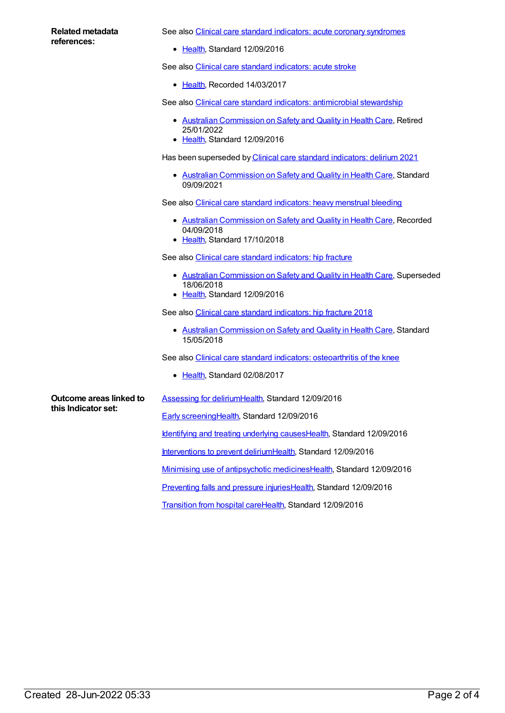#### **Related metadata references:**

See also Clinical care standard indicators: acute coronary [syndromes](https://meteor.aihw.gov.au/content/612027)

• [Health](https://meteor.aihw.gov.au/RegistrationAuthority/12), Standard 12/09/2016

See also Clinical care standard [indicators:](https://meteor.aihw.gov.au/content/627634) acute stroke

• [Health](https://meteor.aihw.gov.au/RegistrationAuthority/12), Recorded 14/03/2017

See also Clinical care standard indicators: [antimicrobial](https://meteor.aihw.gov.au/content/612216) stewardship

- Australian [Commission](https://meteor.aihw.gov.au/RegistrationAuthority/18) on Safety and Quality in Health Care, Retired 25/01/2022
- [Health](https://meteor.aihw.gov.au/RegistrationAuthority/12), Standard 12/09/2016

Has been superseded by Clinical care standard [indicators:](https://meteor.aihw.gov.au/content/745804) delirium 2021

• Australian [Commission](https://meteor.aihw.gov.au/RegistrationAuthority/18) on Safety and Quality in Health Care, Standard 09/09/2021

See also Clinical care standard [indicators:](https://meteor.aihw.gov.au/content/666572) heavy menstrual bleeding

- Australian [Commission](https://meteor.aihw.gov.au/RegistrationAuthority/18) on Safety and Quality in Health Care, Recorded 04/09/2018
- [Health](https://meteor.aihw.gov.au/RegistrationAuthority/12), Standard 17/10/2018

See also Clinical care standard [indicators:](https://meteor.aihw.gov.au/content/628043) hip fracture

- Australian [Commission](https://meteor.aihw.gov.au/RegistrationAuthority/18) on Safety and Quality in Health Care, Superseded 18/06/2018
- [Health](https://meteor.aihw.gov.au/RegistrationAuthority/12), Standard 12/09/2016

See also Clinical care standard [indicators:](https://meteor.aihw.gov.au/content/696424) hip fracture 2018

• Australian [Commission](https://meteor.aihw.gov.au/RegistrationAuthority/18) on Safety and Quality in Health Care, Standard 15/05/2018

See also Clinical care standard indicators: [osteoarthritis](https://meteor.aihw.gov.au/content/644256) of the knee

• [Health](https://meteor.aihw.gov.au/RegistrationAuthority/12), Standard 02/08/2017

**Outcome areas linked to this Indicator set:**

[Assessing](https://meteor.aihw.gov.au/content/627940) for delirium[Health,](https://meteor.aihw.gov.au/RegistrationAuthority/12) Standard 12/09/2016

Early [screening](https://meteor.aihw.gov.au/content/624393)[Health](https://meteor.aihw.gov.au/RegistrationAuthority/12), Standard 12/09/2016

Identifying and treating [underlying](https://meteor.aihw.gov.au/content/624402) causes[Health](https://meteor.aihw.gov.au/RegistrationAuthority/12), Standard 12/09/2016

[Interventions](https://meteor.aihw.gov.au/content/624397) to prevent deliriu[mHealth](https://meteor.aihw.gov.au/RegistrationAuthority/12), Standard 12/09/2016

Minimising use of [antipsychotic](https://meteor.aihw.gov.au/content/624408) medicine[sHealth](https://meteor.aihw.gov.au/RegistrationAuthority/12), Standard 12/09/2016

[Preventing](https://meteor.aihw.gov.au/content/624405) falls and pressure injuries[Health](https://meteor.aihw.gov.au/RegistrationAuthority/12), Standard 12/09/2016

[Transition](https://meteor.aihw.gov.au/content/624413) from hospital car[eHealth](https://meteor.aihw.gov.au/RegistrationAuthority/12), Standard 12/09/2016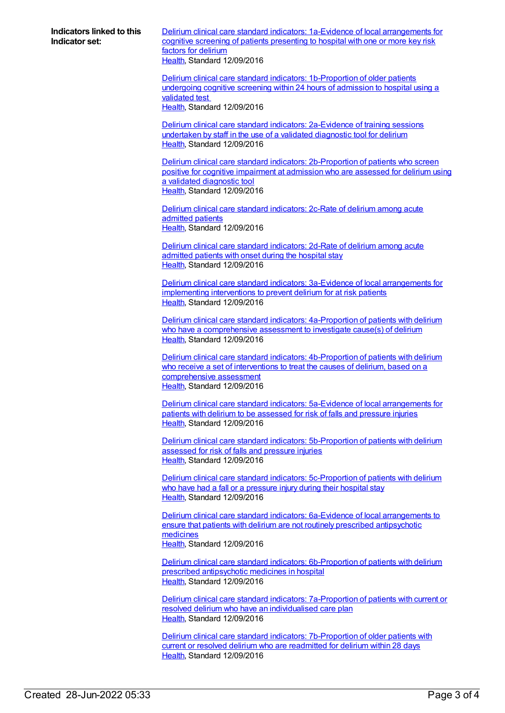**Indicators linked to this Indicator set:**

Delirium clinical care standard indicators: 1a-Evidence of local [arrangements](https://meteor.aihw.gov.au/content/627955) for cognitive screening of patients presenting to hospital with one or more key risk factors for delirium [Health](https://meteor.aihw.gov.au/RegistrationAuthority/12), Standard 12/09/2016

Delirium clinical care standard indicators: [1b-Proportion](https://meteor.aihw.gov.au/content/613168) of older patients undergoing cognitive screening within 24 hours of admission to hospital using a validated test [Health](https://meteor.aihw.gov.au/RegistrationAuthority/12), Standard 12/09/2016

Delirium clinical care standard indicators: [2a-Evidence](https://meteor.aihw.gov.au/content/627951) of training sessions undertaken by staff in the use of a validated diagnostic tool for delirium [Health](https://meteor.aihw.gov.au/RegistrationAuthority/12), Standard 12/09/2016

Delirium clinical care standard indicators: [2b-Proportion](https://meteor.aihw.gov.au/content/627938) of patients who screen positive for cognitive impairment at admission who are assessed for delirium using a validated diagnostic tool [Health](https://meteor.aihw.gov.au/RegistrationAuthority/12), Standard 12/09/2016

Delirium clinical care standard [indicators:](https://meteor.aihw.gov.au/content/628062) 2c-Rate of delirium among acute admitted patients [Health](https://meteor.aihw.gov.au/RegistrationAuthority/12), Standard 12/09/2016

Delirium clinical care standard [indicators:](https://meteor.aihw.gov.au/content/628080) 2d-Rate of delirium among acute admitted patients with onset during the hospital stay [Health](https://meteor.aihw.gov.au/RegistrationAuthority/12), Standard 12/09/2016

Delirium clinical care standard indicators: 3a-Evidence of local [arrangements](https://meteor.aihw.gov.au/content/628086) for implementing interventions to prevent delirium for at risk patients [Health](https://meteor.aihw.gov.au/RegistrationAuthority/12), Standard 12/09/2016

Delirium clinical care standard indicators: [4a-Proportion](https://meteor.aihw.gov.au/content/628103) of patients with delirium who have a comprehensive assessment to investigate cause(s) of delirium [Health](https://meteor.aihw.gov.au/RegistrationAuthority/12), Standard 12/09/2016

Delirium clinical care standard indicators: [4b-Proportion](https://meteor.aihw.gov.au/content/628100) of patients with delirium who receive a set of interventions to treat the causes of delirium, based on a comprehensive assessment [Health](https://meteor.aihw.gov.au/RegistrationAuthority/12), Standard 12/09/2016

Delirium clinical care standard indicators: 5a-Evidence of local [arrangements](https://meteor.aihw.gov.au/content/628096) for patients with delirium to be assessed for risk of falls and pressure injuries [Health](https://meteor.aihw.gov.au/RegistrationAuthority/12), Standard 12/09/2016

Delirium clinical care standard indicators: [5b-Proportion](https://meteor.aihw.gov.au/content/628106) of patients with delirium assessed for risk of falls and pressure injuries [Health](https://meteor.aihw.gov.au/RegistrationAuthority/12), Standard 12/09/2016

Delirium clinical care standard indicators: [5c-Proportion](https://meteor.aihw.gov.au/content/628108) of patients with delirium who have had a fall or a pressure injury during their hospital stay [Health](https://meteor.aihw.gov.au/RegistrationAuthority/12), Standard 12/09/2016

Delirium clinical care standard indicators: 6a-Evidence of local [arrangements](https://meteor.aihw.gov.au/content/628098) to ensure that patients with delirium are not routinely prescribed antipsychotic medicines [Health](https://meteor.aihw.gov.au/RegistrationAuthority/12), Standard 12/09/2016

Delirium clinical care standard indicators: [6b-Proportion](https://meteor.aihw.gov.au/content/628110) of patients with delirium prescribed antipsychotic medicines in hospital [Health](https://meteor.aihw.gov.au/RegistrationAuthority/12), Standard 12/09/2016

Delirium clinical care standard indicators: [7a-Proportion](https://meteor.aihw.gov.au/content/628112) of patients with current or resolved delirium who have an individualised care plan [Health](https://meteor.aihw.gov.au/RegistrationAuthority/12), Standard 12/09/2016

Delirium clinical care standard indicators: [7b-Proportion](https://meteor.aihw.gov.au/content/628114) of older patients with current or resolved delirium who are readmitted for delirium within 28 days [Health](https://meteor.aihw.gov.au/RegistrationAuthority/12), Standard 12/09/2016